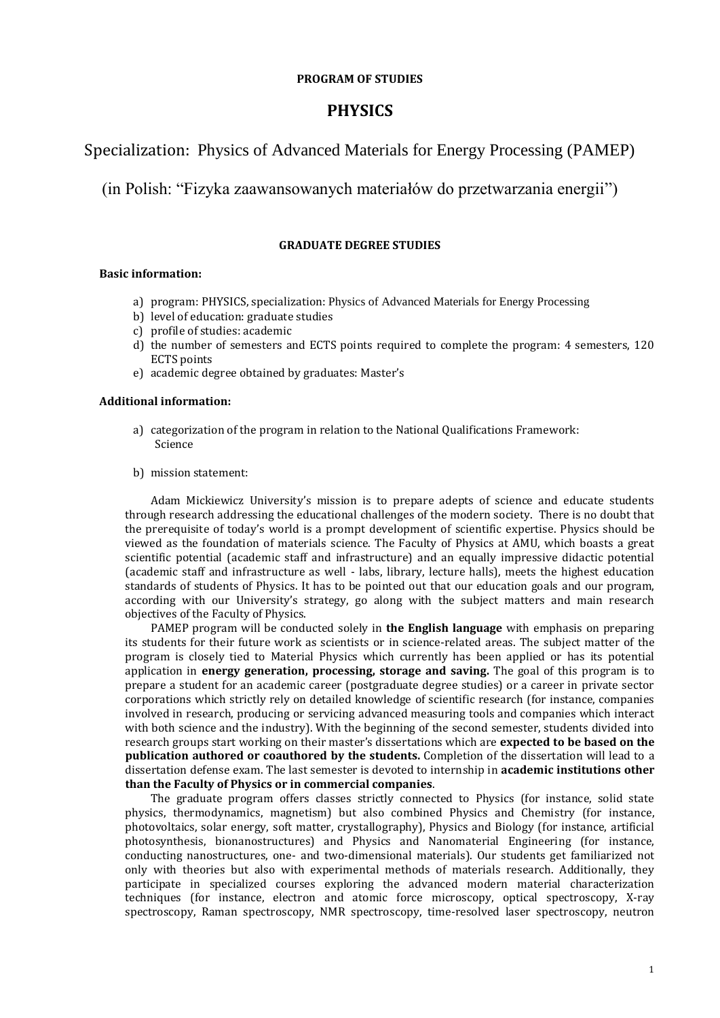### **PROGRAM OF STUDIES**

# **PHYSICS**

# Specialization: Physics of Advanced Materials for Energy Processing (PAMEP)

(in Polish: "Fizyka zaawansowanych materiałów do przetwarzania energii")

### **GRADUATE DEGREE STUDIES**

### **Basic information:**

- a) program: PHYSICS, specialization: Physics of Advanced Materials for Energy Processing
- b) level of education: graduate studies
- c) profile of studies: academic
- d) the number of semesters and ECTS points required to complete the program: 4 semesters, 120 ECTS points
- e) academic degree obtained by graduates: Master's

### **Additional information:**

- a) categorization of the program in relation to the National Qualifications Framework: Science
- b) mission statement:

Adam Mickiewicz University's mission is to prepare adepts of science and educate students through research addressing the educational challenges of the modern society. There is no doubt that the prerequisite of today's world is a prompt development of scientific expertise. Physics should be viewed as the foundation of materials science. The Faculty of Physics at AMU, which boasts a great scientific potential (academic staff and infrastructure) and an equally impressive didactic potential (academic staff and infrastructure as well - labs, library, lecture halls), meets the highest education standards of students of Physics. It has to be pointed out that our education goals and our program, according with our University's strategy, go along with the subject matters and main research objectives of the Faculty of Physics.

PAMEP program will be conducted solely in **the English language** with emphasis on preparing its students for their future work as scientists or in science-related areas. The subject matter of the program is closely tied to Material Physics which currently has been applied or has its potential application in **energy generation, processing, storage and saving.** The goal of this program is to prepare a student for an academic career (postgraduate degree studies) or a career in private sector corporations which strictly rely on detailed knowledge of scientific research (for instance, companies involved in research, producing or servicing advanced measuring tools and companies which interact with both science and the industry). With the beginning of the second semester, students divided into research groups start working on their master's dissertations which are **expected to be based on the publication authored or coauthored by the students.** Completion of the dissertation will lead to a dissertation defense exam. The last semester is devoted to internship in **academic institutions other than the Faculty of Physics or in commercial companies**.

The graduate program offers classes strictly connected to Physics (for instance, solid state physics, thermodynamics, magnetism) but also combined Physics and Chemistry (for instance, photovoltaics, solar energy, soft matter, crystallography), Physics and Biology (for instance, artificial photosynthesis, bionanostructures) and Physics and Nanomaterial Engineering (for instance, conducting nanostructures, one- and two-dimensional materials). Our students get familiarized not only with theories but also with experimental methods of materials research. Additionally, they participate in specialized courses exploring the advanced modern material characterization techniques (for instance, electron and atomic force microscopy, optical spectroscopy, X-ray spectroscopy, Raman spectroscopy, NMR spectroscopy, time-resolved laser spectroscopy, neutron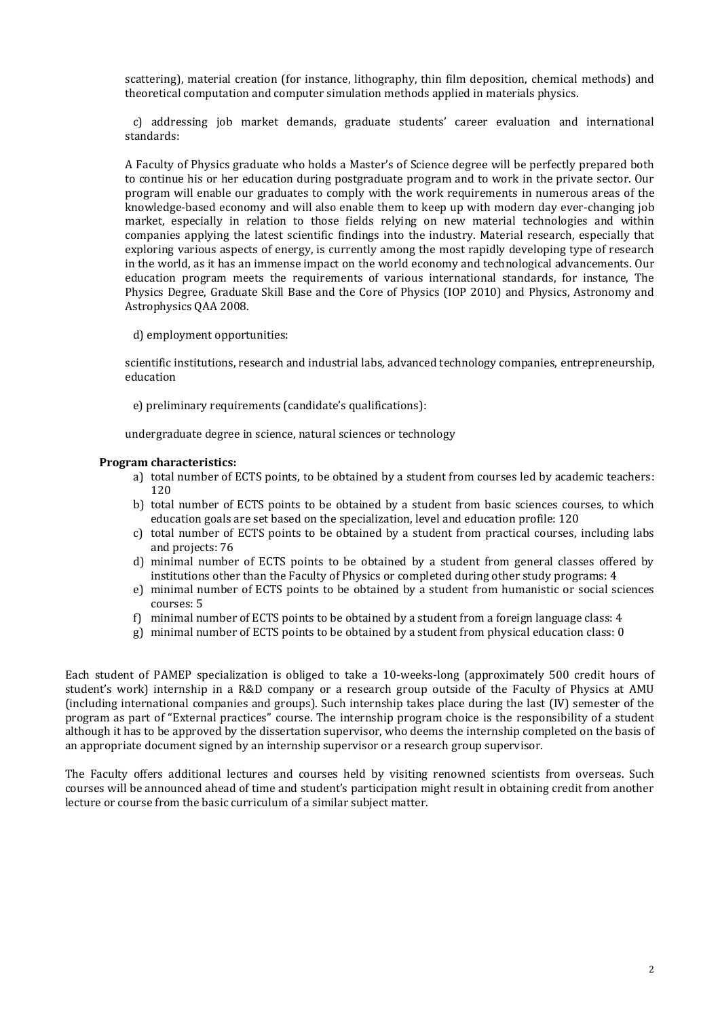scattering), material creation (for instance, lithography, thin film deposition, chemical methods) and theoretical computation and computer simulation methods applied in materials physics.

 c) addressing job market demands, graduate students' career evaluation and international standards:

A Faculty of Physics graduate who holds a Master's of Science degree will be perfectly prepared both to continue his or her education during postgraduate program and to work in the private sector. Our program will enable our graduates to comply with the work requirements in numerous areas of the knowledge-based economy and will also enable them to keep up with modern day ever-changing job market, especially in relation to those fields relying on new material technologies and within companies applying the latest scientific findings into the industry. Material research, especially that exploring various aspects of energy, is currently among the most rapidly developing type of research in the world, as it has an immense impact on the world economy and technological advancements. Our education program meets the requirements of various international standards, for instance, The Physics Degree, Graduate Skill Base and the Core of Physics (IOP 2010) and Physics, Astronomy and Astrophysics QAA 2008.

d) employment opportunities:

scientific institutions, research and industrial labs, advanced technology companies, entrepreneurship, education

e) preliminary requirements (candidate's qualifications):

undergraduate degree in science, natural sciences or technology

### **Program characteristics:**

- a) total number of ECTS points, to be obtained by a student from courses led by academic teachers: 120
- b) total number of ECTS points to be obtained by a student from basic sciences courses, to which education goals are set based on the specialization, level and education profile: 120
- c) total number of ECTS points to be obtained by a student from practical courses, including labs and projects: 76
- d) minimal number of ECTS points to be obtained by a student from general classes offered by institutions other than the Faculty of Physics or completed during other study programs: 4
- e) minimal number of ECTS points to be obtained by a student from humanistic or social sciences courses: 5
- f) minimal number of ECTS points to be obtained by a student from a foreign language class: 4
- g) minimal number of ECTS points to be obtained by a student from physical education class: 0

Each student of PAMEP specialization is obliged to take a 10-weeks-long (approximately 500 credit hours of student's work) internship in a R&D company or a research group outside of the Faculty of Physics at AMU (including international companies and groups). Such internship takes place during the last (IV) semester of the program as part of "External practices" course. The internship program choice is the responsibility of a student although it has to be approved by the dissertation supervisor, who deems the internship completed on the basis of an appropriate document signed by an internship supervisor or a research group supervisor.

The Faculty offers additional lectures and courses held by visiting renowned scientists from overseas. Such courses will be announced ahead of time and student's participation might result in obtaining credit from another lecture or course from the basic curriculum of a similar subject matter.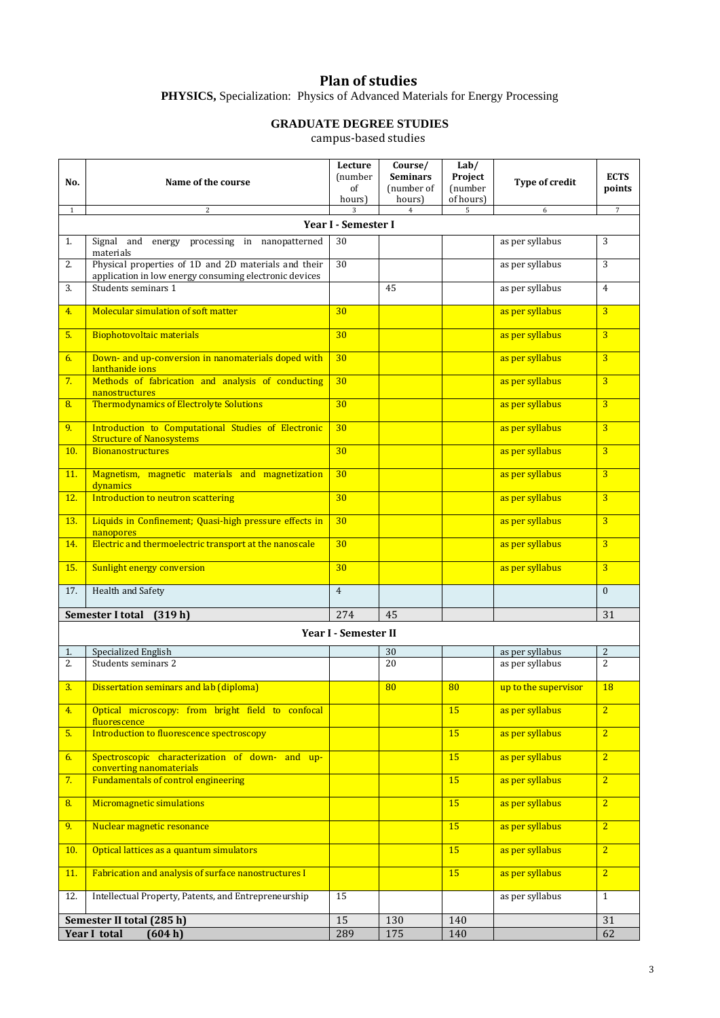## **Plan of studies**

**PHYSICS,** Specialization: Physics of Advanced Materials for Energy Processing

# **GRADUATE DEGREE STUDIES**

campus-based studies

| No.                       | Name of the course                                                                                             | Lecture<br>(number<br>of<br>hours) | Course/<br><b>Seminars</b><br>(number of<br>hours) | Lab/<br>Project<br>(number<br>of hours) | Type of credit       | <b>ECTS</b><br>points |  |  |  |  |
|---------------------------|----------------------------------------------------------------------------------------------------------------|------------------------------------|----------------------------------------------------|-----------------------------------------|----------------------|-----------------------|--|--|--|--|
| $\mathbf{1}$              | 2                                                                                                              | 3                                  | $\overline{4}$                                     | 5                                       | 6                    | $\overline{7}$        |  |  |  |  |
| Year I - Semester I       |                                                                                                                |                                    |                                                    |                                         |                      |                       |  |  |  |  |
| 1.                        | Signal and energy processing in nanopatterned<br>materials                                                     | 30                                 |                                                    |                                         | as per syllabus      | 3                     |  |  |  |  |
| 2.                        | Physical properties of 1D and 2D materials and their<br>application in low energy consuming electronic devices | 30                                 |                                                    |                                         | as per syllabus      | 3                     |  |  |  |  |
| 3.                        | Students seminars 1                                                                                            |                                    | 45                                                 |                                         | as per syllabus      | $\overline{4}$        |  |  |  |  |
| 4.                        | Molecular simulation of soft matter                                                                            | 30                                 |                                                    |                                         | as per syllabus      | $\overline{3}$        |  |  |  |  |
| 5.                        | <b>Biophotovoltaic materials</b>                                                                               | 30                                 |                                                    |                                         | as per syllabus      | $\overline{3}$        |  |  |  |  |
| 6.                        | Down- and up-conversion in nanomaterials doped with<br>lanthanide ions                                         | 30                                 |                                                    |                                         | as per syllabus      | $\overline{3}$        |  |  |  |  |
| 7.                        | Methods of fabrication and analysis of conducting<br>nanostructures                                            | 30                                 |                                                    |                                         | as per syllabus      | $\overline{3}$        |  |  |  |  |
| 8.                        | <b>Thermodynamics of Electrolyte Solutions</b>                                                                 | 30                                 |                                                    |                                         | as per syllabus      | $\overline{3}$        |  |  |  |  |
| 9.                        | Introduction to Computational Studies of Electronic<br><b>Structure of Nanosystems</b>                         | 30                                 |                                                    |                                         | as per syllabus      | $\overline{3}$        |  |  |  |  |
| 10.                       | <b>Bionanostructures</b>                                                                                       | 30                                 |                                                    |                                         | as per syllabus      | $\overline{3}$        |  |  |  |  |
| 11.                       | Magnetism, magnetic materials and magnetization<br>dynamics                                                    | 30                                 |                                                    |                                         | as per syllabus      | $\overline{3}$        |  |  |  |  |
| 12.                       | Introduction to neutron scattering                                                                             | 30 <sup>°</sup>                    |                                                    |                                         | as per syllabus      | $\overline{3}$        |  |  |  |  |
| 13.                       | Liquids in Confinement; Quasi-high pressure effects in<br>nanopores                                            | 30                                 |                                                    |                                         | as per syllabus      | $\overline{3}$        |  |  |  |  |
| 14.                       | Electric and thermoelectric transport at the nanoscale                                                         | 30                                 |                                                    |                                         | as per syllabus      | $\overline{3}$        |  |  |  |  |
| 15.                       | Sunlight energy conversion                                                                                     | 30                                 |                                                    |                                         | as per syllabus      | $\overline{3}$        |  |  |  |  |
| 17.                       | Health and Safety                                                                                              | $\overline{4}$                     |                                                    |                                         |                      | $\mathbf{0}$          |  |  |  |  |
|                           | Semester I total (319 h)                                                                                       | 274                                | 45                                                 |                                         |                      | 31                    |  |  |  |  |
|                           |                                                                                                                | Year I - Semester II               |                                                    |                                         |                      |                       |  |  |  |  |
| 1.                        | Specialized English                                                                                            |                                    | 30                                                 |                                         | as per syllabus      | 2                     |  |  |  |  |
| 2.                        | Students seminars 2                                                                                            |                                    | 20                                                 |                                         | as per syllabus      | $\overline{2}$        |  |  |  |  |
| 3.                        | Dissertation seminars and lab (diploma)                                                                        |                                    | 80                                                 | 80                                      | up to the supervisor | 18                    |  |  |  |  |
| 4.                        | Optical microscopy: from bright field to confocal<br>fluorescence                                              |                                    |                                                    | 15                                      | as per syllabus      | $\overline{2}$        |  |  |  |  |
| 5.                        | Introduction to fluorescence spectroscopy                                                                      |                                    |                                                    | 15                                      | as per syllabus      | $\overline{2}$        |  |  |  |  |
| 6.                        | Spectroscopic characterization of down- and up-<br>converting nanomaterials                                    |                                    |                                                    | 15                                      | as per syllabus      | $\overline{2}$        |  |  |  |  |
| 7.                        | <b>Fundamentals of control engineering</b>                                                                     |                                    |                                                    | 15                                      | as per syllabus      | $\overline{2}$        |  |  |  |  |
| 8.                        | Micromagnetic simulations                                                                                      |                                    |                                                    | 15                                      | as per syllabus      | $\overline{2}$        |  |  |  |  |
| 9.                        | Nuclear magnetic resonance                                                                                     |                                    |                                                    | 15                                      | as per syllabus      | $\overline{2}$        |  |  |  |  |
| 10.                       | Optical lattices as a quantum simulators                                                                       |                                    |                                                    | 15                                      | as per syllabus      | $\overline{2}$        |  |  |  |  |
| 11.                       | Fabrication and analysis of surface nanostructures I                                                           |                                    |                                                    | 15                                      | as per syllabus      | $\overline{2}$        |  |  |  |  |
| 12.                       | Intellectual Property, Patents, and Entrepreneurship                                                           | 15                                 |                                                    |                                         | as per syllabus      | $\mathbf{1}$          |  |  |  |  |
| Semester II total (285 h) |                                                                                                                | 15                                 | 130                                                | 140                                     |                      | 31                    |  |  |  |  |
| Year I total<br>(604 h)   |                                                                                                                | 289                                | 175                                                | 140                                     |                      | 62                    |  |  |  |  |